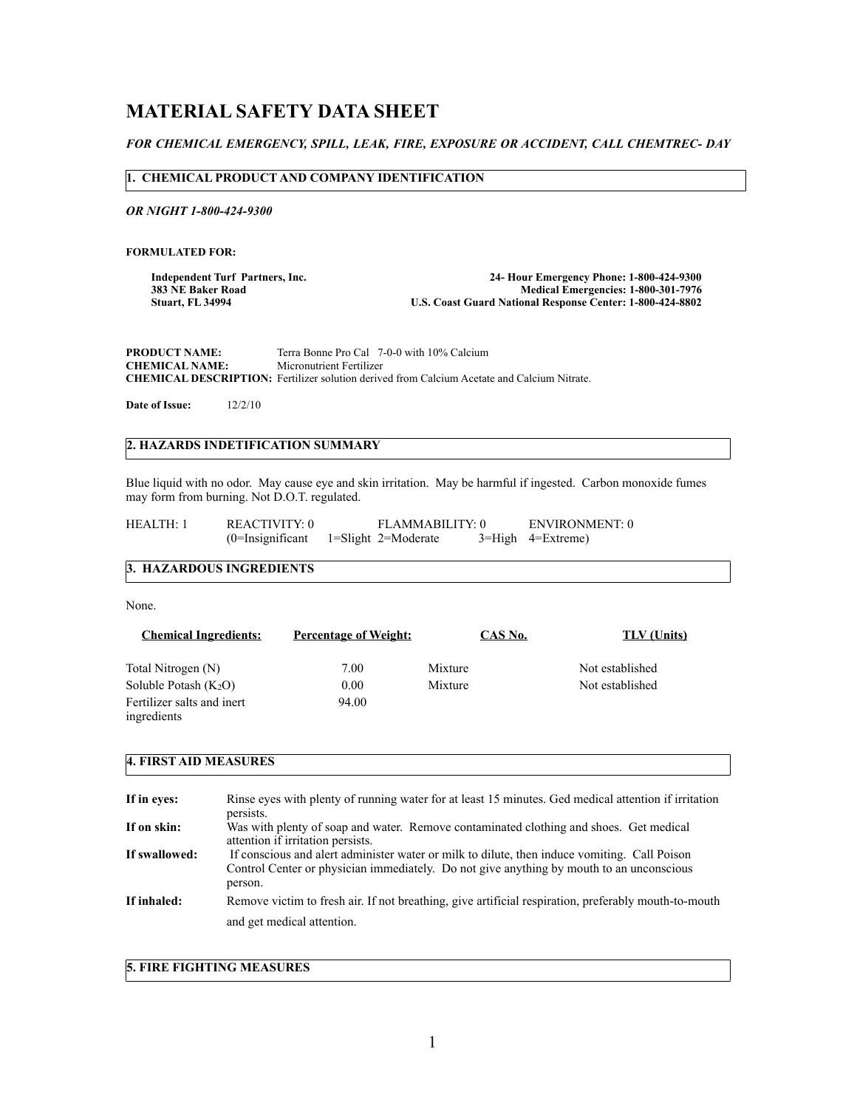# **MATERIAL SAFETY DATA SHEET**

# *FOR CHEMICAL EMERGENCY, SPILL, LEAK, FIRE, EXPOSURE OR ACCIDENT, CALL CHEMTREC- DAY*

## **1. CHEMICAL PRODUCT AND COMPANY IDENTIFICATION**

*OR NIGHT 1-800-424-9300*

**FORMULATED FOR:** 

**Independent Turf Partners, Inc. 24- Hour Emergency Phone: 1-800-424-9300 383 NE Baker Road Medical Emergencies: 1-800-301-7976**<br>Coast Guard National Response Center: 1-800-424-8802 **U.S. Coast Guard National Response Center: 1-800-424-8802** 

**PRODUCT NAME:** Terra Bonne Pro Cal 7-0-0 with 10% Calcium CHEMICAL NAME: Micronutrient Fertilizer **Micronutrient Fertilizer CHEMICAL DESCRIPTION:** Fertilizer solution derived from Calcium Acetate and Calcium Nitrate.

**Date of Issue:** 12/2/10

# **2. HAZARDS INDETIFICATION SUMMARY**

Blue liquid with no odor. May cause eye and skin irritation. May be harmful if ingested. Carbon monoxide fumes may form from burning. Not D.O.T. regulated.

| HEALTH: 1 | REACTIVITY: 0 | FLAMMABILITY: 0                         |  | ENVIRONMENT: 0               |
|-----------|---------------|-----------------------------------------|--|------------------------------|
|           |               | $(0=$ Insignificant 1=Slight 2=Moderate |  | $3 = High \quad 4 = Extract$ |

# **3. HAZARDOUS INGREDIENTS**

None.

| <b>Chemical Ingredients:</b>              | <b>Percentage of Weight:</b> | CAS No. | <b>TLV</b> (Units) |
|-------------------------------------------|------------------------------|---------|--------------------|
| Total Nitrogen (N)                        | 7.00                         | Mixture | Not established    |
| Soluble Potash $(K_2O)$                   | 0.00                         | Mixture | Not established    |
| Fertilizer salts and inert<br>ingredients | 94.00                        |         |                    |

# **4. FIRST AID MEASURES**

| If in eyes:   | Rinse eyes with plenty of running water for at least 15 minutes. Ged medical attention if irritation<br>persists.                                                                                    |
|---------------|------------------------------------------------------------------------------------------------------------------------------------------------------------------------------------------------------|
| If on skin:   | Was with plenty of soap and water. Remove contaminated clothing and shoes. Get medical<br>attention if irritation persists.                                                                          |
| If swallowed: | If conscious and a lert administer water or milk to dilute, then induce vomiting. Call Poison<br>Control Center or physician immediately. Do not give anything by mouth to an unconscious<br>person. |
| If inhaled:   | Remove victim to fresh air. If not breathing, give artificial respiration, preferably mouth-to-mouth                                                                                                 |
|               | and get medical attention.                                                                                                                                                                           |

**5. FIRE FIGHTING MEASURES**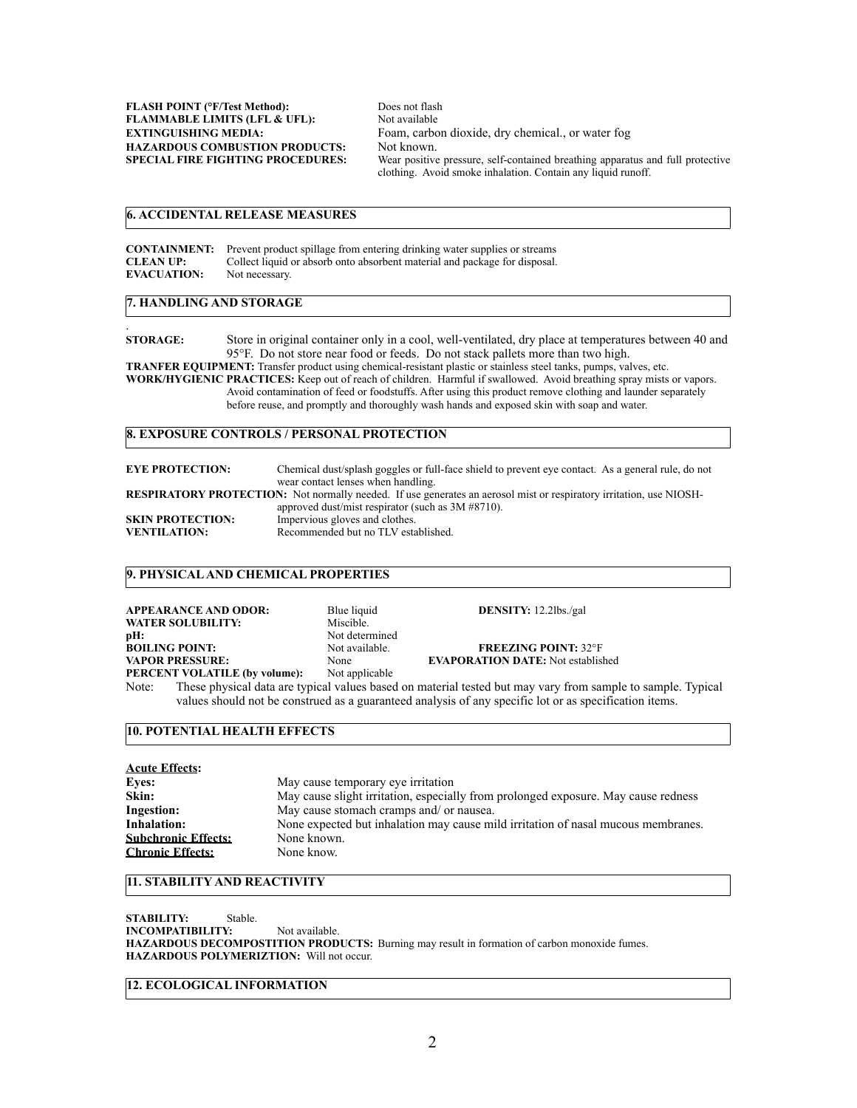**FLASH POINT (°F/Test Method):** Does not flash<br>**FLAMMABLE LIMITS (LFL& UFL):** Not available **FLAMMABLE LIMITS (LFL & UFL): HAZARDOUS COMBUSTION PRODUCTS:** Not known.<br>**SPECIAL FIRE FIGHTING PROCEDURES:** Wear positive

**EXTINGUISHING MEDIA:** Foam, carbon dioxide, dry chemical., or water fog Wear positive pressure, self-contained breathing apparatus and full protective clothing. Avoid smoke inhalation. Contain any liquid runoff.

# **6. ACCIDENTAL RELEASE MEASURES**

|                    | <b>CONTAINMENT:</b> Prevent product spillage from entering drinking water supplies or streams |
|--------------------|-----------------------------------------------------------------------------------------------|
| <b>CLEAN UP:</b>   | Collect liquid or absorb onto absorbent material and package for disposal.                    |
| <b>EVACUATION:</b> | Not necessary.                                                                                |

#### **7. HANDLING AND STORAGE**

.

**STORAGE:** Store in original container only in a cool, well-ventilated, dry place at temperatures between 40 and 95°F. Do not store near food or feeds. Do not stack pallets more than two high. **TRANFER EQUIPMENT:** Transfer product using chemical-resistant plastic or stainless steel tanks, pumps, valves, etc. **WORK/HYGIENIC PRACTICES:** Keep out of reach of children. Harmful if swallowed. Avoid breathing spray mists or vapors. Avoid contamination of feed or foodstuffs. After using this product remove clothing and launder separately before reuse, and promptly and thoroughly wash hands and exposed skin with soap and water.

#### **8. EXPOSURE CONTROLS / PERSONAL PROTECTION**

| <b>EYE PROTECTION:</b>  | Chemical dust/splash goggles or full-face shield to prevent eye contact. As a general rule, do not<br>wear contact lenses when handling. |
|-------------------------|------------------------------------------------------------------------------------------------------------------------------------------|
|                         | <b>RESPIRATORY PROTECTION:</b> Not normally needed. If use generates an aerosol mist or respiratory irritation, use NIOSH-               |
|                         | approved dust/mist respirator (such as $3M \#8710$ ).                                                                                    |
| <b>SKIN PROTECTION:</b> | Impervious gloves and clothes.                                                                                                           |
| <b>VENTILATION:</b>     | Recommended but no TLV established.                                                                                                      |

## **9. PHYSICAL AND CHEMICAL PROPERTIES**

| <b>APPEARANCE AND ODOR:</b>          | Blue liquid    | <b>DENSITY:</b> $12.2$ lbs./gal          |
|--------------------------------------|----------------|------------------------------------------|
| <b>WATER SOLUBILITY:</b>             | Miscible.      |                                          |
| pH:                                  | Not determined |                                          |
| <b>BOILING POINT:</b>                | Not available. | <b>FREEZING POINT: 32°F</b>              |
| <b>VAPOR PRESSURE:</b>               | None           | <b>EVAPORATION DATE:</b> Not established |
| <b>PERCENT VOLATILE (by volume):</b> | Not applicable |                                          |

Note: These physical data are typical values based on material tested but may vary from sample to sample. Typical values should not be construed as a guaranteed analysis of any specific lot or as specification items.

## **10. POTENTIAL HEALTH EFFECTS**

| <b>Acute Effects:</b>      |                                                                                    |
|----------------------------|------------------------------------------------------------------------------------|
| <b>Eyes:</b>               | May cause temporary eye irritation                                                 |
| Skin:                      | May cause slight irritation, especially from prolonged exposure. May cause redness |
| <b>Ingestion:</b>          | May cause stomach cramps and/ or nausea.                                           |
| <b>Inhalation:</b>         | None expected but inhalation may cause mild irritation of nasal mucous membranes.  |
| <b>Subchronic Effects:</b> | None known.                                                                        |
| <b>Chronic Effects:</b>    | None know.                                                                         |

#### **11. STABILITY AND REACTIVITY**

**STABILITY:** Stable. **INCOMPATIBILITY:** Not available. **HAZARDOUS DECOMPOSTITION PRODUCTS:** Burning may result in formation of carbon monoxide fumes. **HAZARDOUS POLYMERIZTION:** Will not occur.

## **12. ECOLOGICAL INFORMATION**